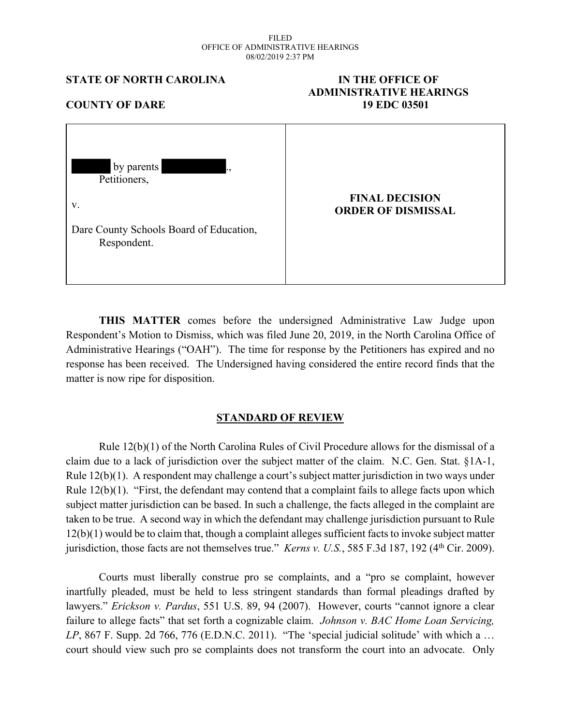#### FILED OFFICE OF ADMINISTRATIVE HEARINGS 08/02/2019 2:37 PM

**STATE OF NORTH CAROLINA IN THE OFFICE OF**

# **ADMINISTRATIVE HEARINGS COUNTY OF DARE 19 EDC 03501** by parents Petitioners. v. Dare County Schools Board of Education, Respondent. **FINAL DECISION ORDER OF DISMISSAL**

**THIS MATTER** comes before the undersigned Administrative Law Judge upon Respondent's Motion to Dismiss, which was filed June 20, 2019, in the North Carolina Office of Administrative Hearings ("OAH"). The time for response by the Petitioners has expired and no response has been received. The Undersigned having considered the entire record finds that the matter is now ripe for disposition.

## **STANDARD OF REVIEW**

Rule 12(b)(1) of the North Carolina Rules of Civil Procedure allows for the dismissal of a claim due to a lack of jurisdiction over the subject matter of the claim. N.C. Gen. Stat. §1A-1, Rule 12(b)(1). A respondent may challenge a court's subject matter jurisdiction in two ways under Rule 12(b)(1). "First, the defendant may contend that a complaint fails to allege facts upon which subject matter jurisdiction can be based. In such a challenge, the facts alleged in the complaint are taken to be true. A second way in which the defendant may challenge jurisdiction pursuant to Rule 12(b)(1) would be to claim that, though a complaint alleges sufficient facts to invoke subject matter jurisdiction, those facts are not themselves true." *Kerns v. U.S.*, 585 F.3d 187, 192 (4<sup>th</sup> Cir. 2009).

Courts must liberally construe pro se complaints, and a "pro se complaint, however inartfully pleaded, must be held to less stringent standards than formal pleadings drafted by lawyers." *Erickson v. Pardus*, 551 U.S. 89, 94 (2007). However, courts "cannot ignore a clear failure to allege facts" that set forth a cognizable claim. *Johnson v. BAC Home Loan Servicing, LP*, 867 F. Supp. 2d 766, 776 (E.D.N.C. 2011). "The 'special judicial solitude' with which a … court should view such pro se complaints does not transform the court into an advocate. Only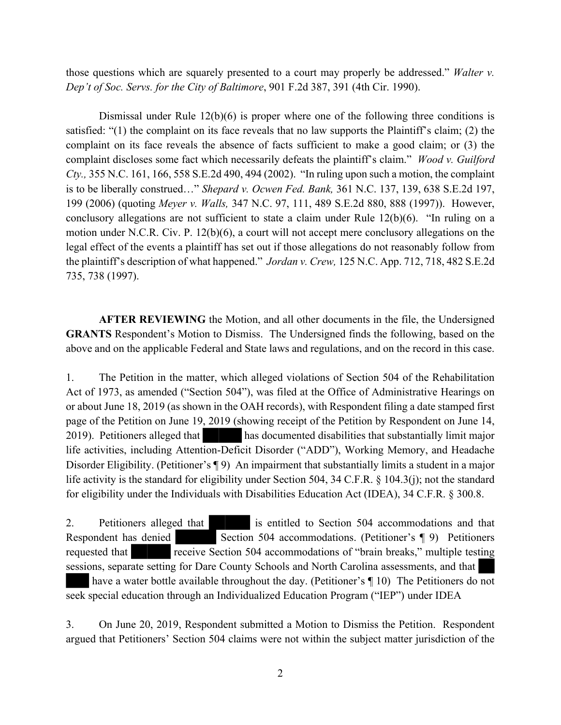those questions which are squarely presented to a court may properly be addressed." *Walter v. Dep't of Soc. Servs. for the City of Baltimore*, 901 F.2d 387, 391 (4th Cir. 1990).

Dismissal under Rule 12(b)(6) is proper where one of the following three conditions is satisfied: "(1) the complaint on its face reveals that no law supports the Plaintiff's claim; (2) the complaint on its face reveals the absence of facts sufficient to make a good claim; or (3) the complaint discloses some fact which necessarily defeats the plaintiff's claim." *Wood v. Guilford Cty.,* 355 N.C. 161, 166, 558 S.E.2d 490, 494 (2002). "In ruling upon such a motion, the complaint is to be liberally construed…" *Shepard v. Ocwen Fed. Bank,* 361 N.C. 137, 139, 638 S.E.2d 197, 199 (2006) (quoting *Meyer v. Walls,* 347 N.C. 97, 111, 489 S.E.2d 880, 888 (1997)). However, conclusory allegations are not sufficient to state a claim under Rule 12(b)(6). "In ruling on a motion under N.C.R. Civ. P. 12(b)(6), a court will not accept mere conclusory allegations on the legal effect of the events a plaintiff has set out if those allegations do not reasonably follow from the plaintiff's description of what happened." *Jordan v. Crew,* 125 N.C. App. 712, 718, 482 S.E.2d 735, 738 (1997).

**AFTER REVIEWING** the Motion, and all other documents in the file, the Undersigned **GRANTS** Respondent's Motion to Dismiss. The Undersigned finds the following, based on the above and on the applicable Federal and State laws and regulations, and on the record in this case.

1. The Petition in the matter, which alleged violations of Section 504 of the Rehabilitation Act of 1973, as amended ("Section 504"), was filed at the Office of Administrative Hearings on or about June 18, 2019 (as shown in the OAH records), with Respondent filing a date stamped first page of the Petition on June 19, 2019 (showing receipt of the Petition by Respondent on June 14, 2019). Petitioners alleged that has documented disabilities that substantially limit major life activities, including Attention-Deficit Disorder ("ADD"), Working Memory, and Headache Disorder Eligibility. (Petitioner's ¶ 9) An impairment that substantially limits a student in a major life activity is the standard for eligibility under Section 504, 34 C.F.R. § 104.3(j); not the standard for eligibility under the Individuals with Disabilities Education Act (IDEA), 34 C.F.R. § 300.8.

2. Petitioners alleged that is entitled to Section 504 accommodations and that Respondent has denied Section 504 accommodations. (Petitioner's ¶ 9) Petitioners requested that **receive Section 504 accommodations of "brain breaks," multiple testing** sessions, separate setting for Dare County Schools and North Carolina assessments, and that have a water bottle available throughout the day. (Petitioner's  $\P$  10) The Petitioners do not seek special education through an Individualized Education Program ("IEP") under IDEA

3. On June 20, 2019, Respondent submitted a Motion to Dismiss the Petition. Respondent argued that Petitioners' Section 504 claims were not within the subject matter jurisdiction of the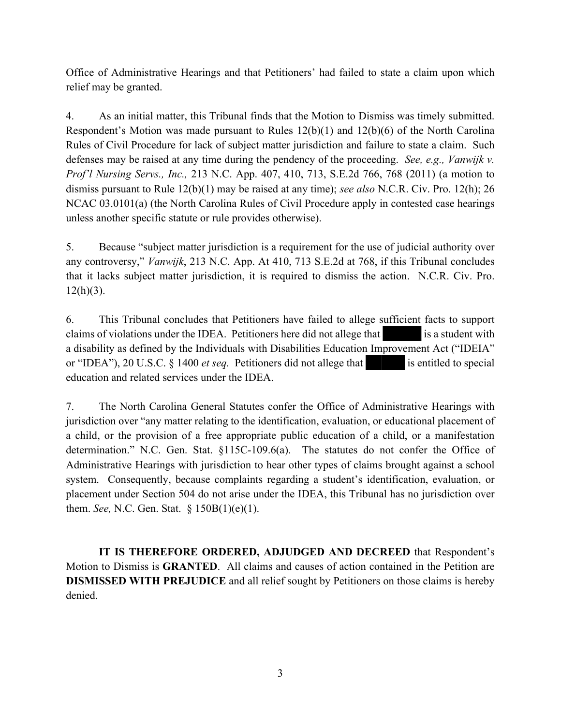Office of Administrative Hearings and that Petitioners' had failed to state a claim upon which relief may be granted.

4. As an initial matter, this Tribunal finds that the Motion to Dismiss was timely submitted. Respondent's Motion was made pursuant to Rules 12(b)(1) and 12(b)(6) of the North Carolina Rules of Civil Procedure for lack of subject matter jurisdiction and failure to state a claim. Such defenses may be raised at any time during the pendency of the proceeding. *See, e.g., Vanwijk v. Prof'l Nursing Servs., Inc.,* 213 N.C. App. 407, 410, 713, S.E.2d 766, 768 (2011) (a motion to dismiss pursuant to Rule 12(b)(1) may be raised at any time); *see also* N.C.R. Civ. Pro. 12(h); 26 NCAC 03.0101(a) (the North Carolina Rules of Civil Procedure apply in contested case hearings unless another specific statute or rule provides otherwise).

5. Because "subject matter jurisdiction is a requirement for the use of judicial authority over any controversy," *Vanwijk*, 213 N.C. App. At 410, 713 S.E.2d at 768, if this Tribunal concludes that it lacks subject matter jurisdiction, it is required to dismiss the action. N.C.R. Civ. Pro.  $12(h)(3)$ .

6. This Tribunal concludes that Petitioners have failed to allege sufficient facts to support claims of violations under the IDEA. Petitioners here did not allege that is a student with a disability as defined by the Individuals with Disabilities Education Improvement Act ("IDEIA" or "IDEA"), 20 U.S.C. § 1400 *et seq.* Petitioners did not allege that is entitled to special education and related services under the IDEA.

7. The North Carolina General Statutes confer the Office of Administrative Hearings with jurisdiction over "any matter relating to the identification, evaluation, or educational placement of a child, or the provision of a free appropriate public education of a child, or a manifestation determination." N.C. Gen. Stat. §115C-109.6(a). The statutes do not confer the Office of Administrative Hearings with jurisdiction to hear other types of claims brought against a school system. Consequently, because complaints regarding a student's identification, evaluation, or placement under Section 504 do not arise under the IDEA, this Tribunal has no jurisdiction over them. *See,* N.C. Gen. Stat. § 150B(1)(e)(1).

**IT IS THEREFORE ORDERED, ADJUDGED AND DECREED** that Respondent's Motion to Dismiss is **GRANTED**. All claims and causes of action contained in the Petition are **DISMISSED WITH PREJUDICE** and all relief sought by Petitioners on those claims is hereby denied.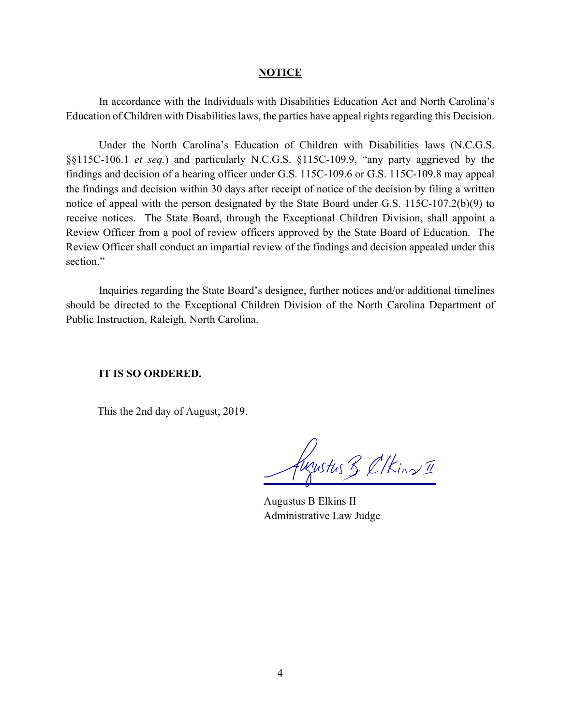#### **NOTICE**

In accordance with the Individuals with Disabilities Education Act and North Carolina's Education of Children with Disabilities laws, the parties have appeal rights regarding this Decision.

Under the North Carolina's Education of Children with Disabilities laws (N.C.G.S. §§115C-106.1 *et seq.*) and particularly N.C.G.S. §115C-109.9, "any party aggrieved by the findings and decision of a hearing officer under G.S. 115C-109.6 or G.S. 115C-109.8 may appeal the findings and decision within 30 days after receipt of notice of the decision by filing a written notice of appeal with the person designated by the State Board under G.S. 115C-107.2(b)(9) to receive notices. The State Board, through the Exceptional Children Division, shall appoint a Review Officer from a pool of review officers approved by the State Board of Education. The Review Officer shall conduct an impartial review of the findings and decision appealed under this section."

Inquiries regarding the State Board's designee, further notices and/or additional timelines should be directed to the Exceptional Children Division of the North Carolina Department of Public Instruction, Raleigh, North Carolina.

### **IT IS SO ORDERED.**

This the 2nd day of August, 2019.

Weyestus 3 Clkins II

Augustus B Elkins II Administrative Law Judge